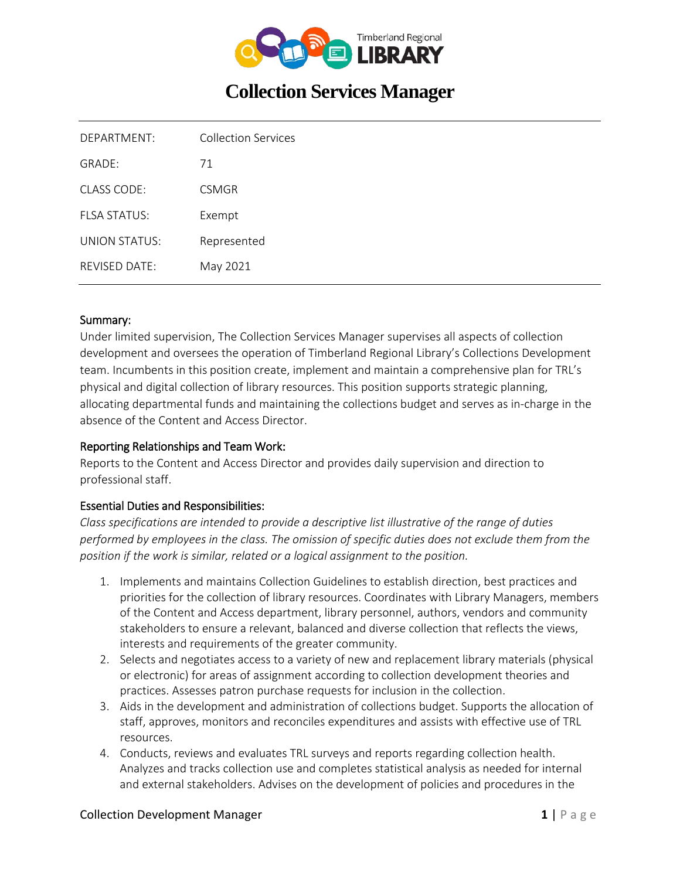

# **Collection Services Manager**

| DEPARTMENT:          | <b>Collection Services</b> |
|----------------------|----------------------------|
| GRADE:               | 71                         |
| <b>CLASS CODE:</b>   | <b>CSMGR</b>               |
| <b>FLSA STATUS:</b>  | Exempt                     |
| UNION STATUS:        | Represented                |
| <b>REVISED DATE:</b> | May 2021                   |
|                      |                            |

#### Summary:

Under limited supervision, The Collection Services Manager supervises all aspects of collection development and oversees the operation of Timberland Regional Library's Collections Development team. Incumbents in this position create, implement and maintain a comprehensive plan for TRL's physical and digital collection of library resources. This position supports strategic planning, allocating departmental funds and maintaining the collections budget and serves as in-charge in the absence of the Content and Access Director.

#### Reporting Relationships and Team Work:

Reports to the Content and Access Director and provides daily supervision and direction to professional staff.

#### Essential Duties and Responsibilities:

*Class specifications are intended to provide a descriptive list illustrative of the range of duties performed by employees in the class. The omission of specific duties does not exclude them from the position if the work is similar, related or a logical assignment to the position.*

- 1. Implements and maintains Collection Guidelines to establish direction, best practices and priorities for the collection of library resources. Coordinates with Library Managers, members of the Content and Access department, library personnel, authors, vendors and community stakeholders to ensure a relevant, balanced and diverse collection that reflects the views, interests and requirements of the greater community.
- 2. Selects and negotiates access to a variety of new and replacement library materials (physical or electronic) for areas of assignment according to collection development theories and practices. Assesses patron purchase requests for inclusion in the collection.
- 3. Aids in the development and administration of collections budget. Supports the allocation of staff, approves, monitors and reconciles expenditures and assists with effective use of TRL resources.
- 4. Conducts, reviews and evaluates TRL surveys and reports regarding collection health. Analyzes and tracks collection use and completes statistical analysis as needed for internal and external stakeholders. Advises on the development of policies and procedures in the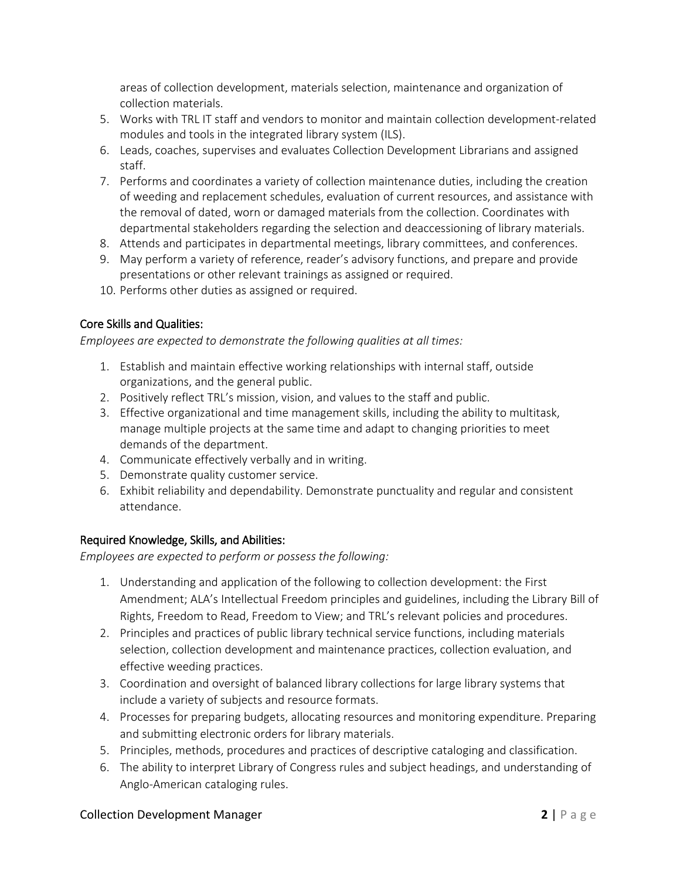areas of collection development, materials selection, maintenance and organization of collection materials.

- 5. Works with TRL IT staff and vendors to monitor and maintain collection development-related modules and tools in the integrated library system (ILS).
- 6. Leads, coaches, supervises and evaluates Collection Development Librarians and assigned staff.
- 7. Performs and coordinates a variety of collection maintenance duties, including the creation of weeding and replacement schedules, evaluation of current resources, and assistance with the removal of dated, worn or damaged materials from the collection. Coordinates with departmental stakeholders regarding the selection and deaccessioning of library materials.
- 8. Attends and participates in departmental meetings, library committees, and conferences.
- 9. May perform a variety of reference, reader's advisory functions, and prepare and provide presentations or other relevant trainings as assigned or required.
- 10. Performs other duties as assigned or required.

# Core Skills and Qualities:

*Employees are expected to demonstrate the following qualities at all times:*

- 1. Establish and maintain effective working relationships with internal staff, outside organizations, and the general public.
- 2. Positively reflect TRL's mission, vision, and values to the staff and public.
- 3. Effective organizational and time management skills, including the ability to multitask, manage multiple projects at the same time and adapt to changing priorities to meet demands of the department.
- 4. Communicate effectively verbally and in writing.
- 5. Demonstrate quality customer service.
- 6. Exhibit reliability and dependability. Demonstrate punctuality and regular and consistent attendance.

# Required Knowledge, Skills, and Abilities:

*Employees are expected to perform or possess the following:*

- 1. Understanding and application of the following to collection development: the First Amendment; ALA's Intellectual Freedom principles and guidelines, including the Library Bill of Rights, Freedom to Read, Freedom to View; and TRL's relevant policies and procedures.
- 2. Principles and practices of public library technical service functions, including materials selection, collection development and maintenance practices, collection evaluation, and effective weeding practices.
- 3. Coordination and oversight of balanced library collections for large library systems that include a variety of subjects and resource formats.
- 4. Processes for preparing budgets, allocating resources and monitoring expenditure. Preparing and submitting electronic orders for library materials.
- 5. Principles, methods, procedures and practices of descriptive cataloging and classification.
- 6. The ability to interpret Library of Congress rules and subject headings, and understanding of Anglo-American cataloging rules.

#### **Collection Development Manager <b>2** | Page